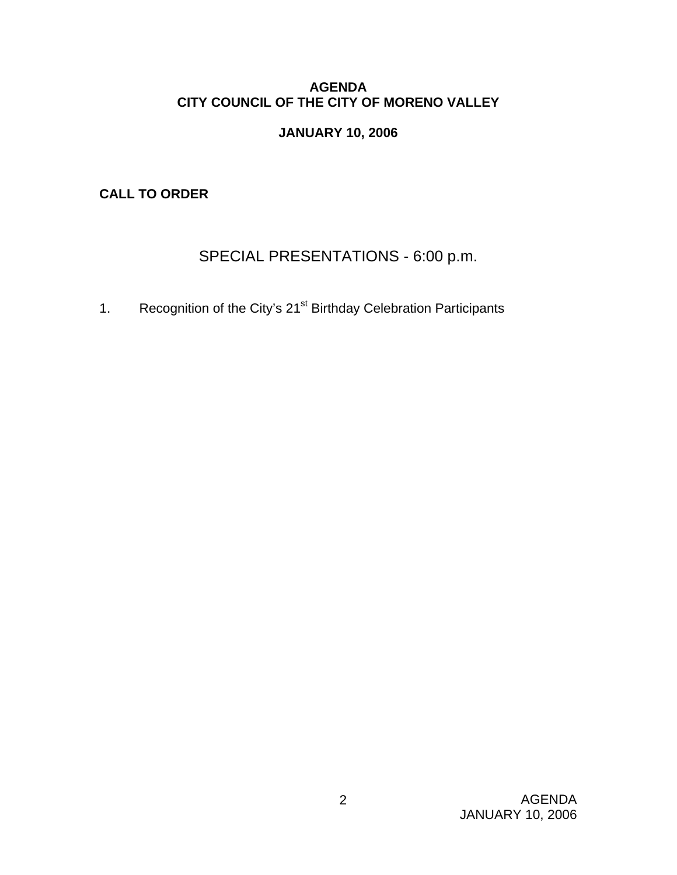#### **AGENDA CITY COUNCIL OF THE CITY OF MORENO VALLEY**

### **JANUARY 10, 2006**

**CALL TO ORDER** 

# SPECIAL PRESENTATIONS - 6:00 p.m.

1. Recognition of the City's 21<sup>st</sup> Birthday Celebration Participants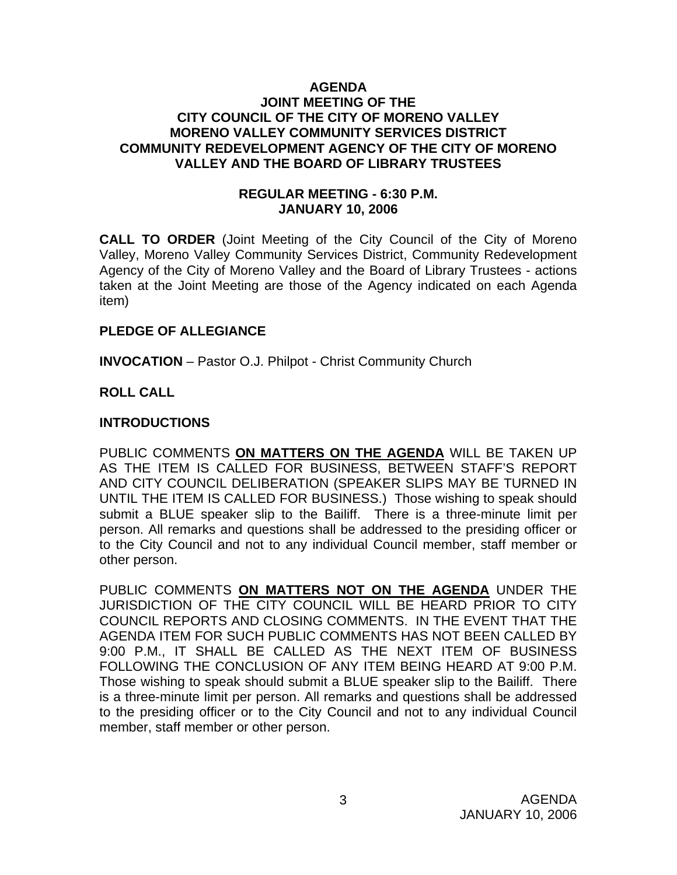#### **AGENDA JOINT MEETING OF THE CITY COUNCIL OF THE CITY OF MORENO VALLEY MORENO VALLEY COMMUNITY SERVICES DISTRICT COMMUNITY REDEVELOPMENT AGENCY OF THE CITY OF MORENO VALLEY AND THE BOARD OF LIBRARY TRUSTEES**

#### **REGULAR MEETING - 6:30 P.M. JANUARY 10, 2006**

**CALL TO ORDER** (Joint Meeting of the City Council of the City of Moreno Valley, Moreno Valley Community Services District, Community Redevelopment Agency of the City of Moreno Valley and the Board of Library Trustees - actions taken at the Joint Meeting are those of the Agency indicated on each Agenda item)

#### **PLEDGE OF ALLEGIANCE**

**INVOCATION** – Pastor O.J. Philpot - Christ Community Church

### **ROLL CALL**

#### **INTRODUCTIONS**

PUBLIC COMMENTS **ON MATTERS ON THE AGENDA** WILL BE TAKEN UP AS THE ITEM IS CALLED FOR BUSINESS, BETWEEN STAFF'S REPORT AND CITY COUNCIL DELIBERATION (SPEAKER SLIPS MAY BE TURNED IN UNTIL THE ITEM IS CALLED FOR BUSINESS.) Those wishing to speak should submit a BLUE speaker slip to the Bailiff. There is a three-minute limit per person. All remarks and questions shall be addressed to the presiding officer or to the City Council and not to any individual Council member, staff member or other person.

PUBLIC COMMENTS **ON MATTERS NOT ON THE AGENDA** UNDER THE JURISDICTION OF THE CITY COUNCIL WILL BE HEARD PRIOR TO CITY COUNCIL REPORTS AND CLOSING COMMENTS. IN THE EVENT THAT THE AGENDA ITEM FOR SUCH PUBLIC COMMENTS HAS NOT BEEN CALLED BY 9:00 P.M., IT SHALL BE CALLED AS THE NEXT ITEM OF BUSINESS FOLLOWING THE CONCLUSION OF ANY ITEM BEING HEARD AT 9:00 P.M. Those wishing to speak should submit a BLUE speaker slip to the Bailiff. There is a three-minute limit per person. All remarks and questions shall be addressed to the presiding officer or to the City Council and not to any individual Council member, staff member or other person.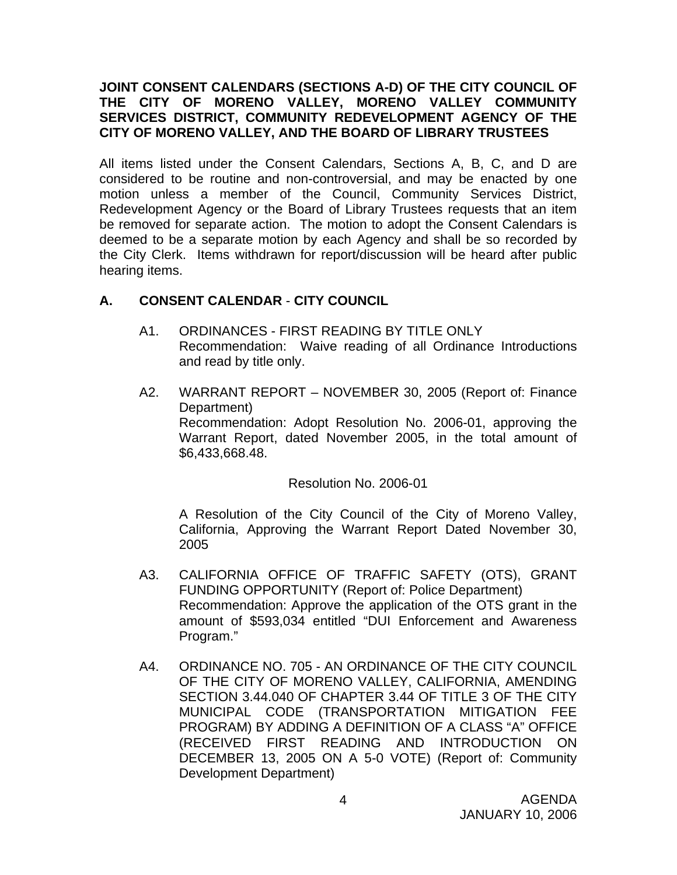#### **JOINT CONSENT CALENDARS (SECTIONS A-D) OF THE CITY COUNCIL OF THE CITY OF MORENO VALLEY, MORENO VALLEY COMMUNITY SERVICES DISTRICT, COMMUNITY REDEVELOPMENT AGENCY OF THE CITY OF MORENO VALLEY, AND THE BOARD OF LIBRARY TRUSTEES**

All items listed under the Consent Calendars, Sections A, B, C, and D are considered to be routine and non-controversial, and may be enacted by one motion unless a member of the Council, Community Services District, Redevelopment Agency or the Board of Library Trustees requests that an item be removed for separate action. The motion to adopt the Consent Calendars is deemed to be a separate motion by each Agency and shall be so recorded by the City Clerk. Items withdrawn for report/discussion will be heard after public hearing items.

#### **A. CONSENT CALENDAR** - **CITY COUNCIL**

- A1. ORDINANCES FIRST READING BY TITLE ONLY Recommendation: Waive reading of all Ordinance Introductions and read by title only.
- A2. WARRANT REPORT NOVEMBER 30, 2005 (Report of: Finance Department) Recommendation: Adopt Resolution No. 2006-01, approving the Warrant Report, dated November 2005, in the total amount of \$6,433,668.48.

Resolution No. 2006-01

 A Resolution of the City Council of the City of Moreno Valley, California, Approving the Warrant Report Dated November 30, 2005

- A3. CALIFORNIA OFFICE OF TRAFFIC SAFETY (OTS), GRANT FUNDING OPPORTUNITY (Report of: Police Department) Recommendation: Approve the application of the OTS grant in the amount of \$593,034 entitled "DUI Enforcement and Awareness Program."
- A4. ORDINANCE NO. 705 AN ORDINANCE OF THE CITY COUNCIL OF THE CITY OF MORENO VALLEY, CALIFORNIA, AMENDING SECTION 3.44.040 OF CHAPTER 3.44 OF TITLE 3 OF THE CITY MUNICIPAL CODE (TRANSPORTATION MITIGATION FEE PROGRAM) BY ADDING A DEFINITION OF A CLASS "A" OFFICE (RECEIVED FIRST READING AND INTRODUCTION ON DECEMBER 13, 2005 ON A 5-0 VOTE) (Report of: Community Development Department)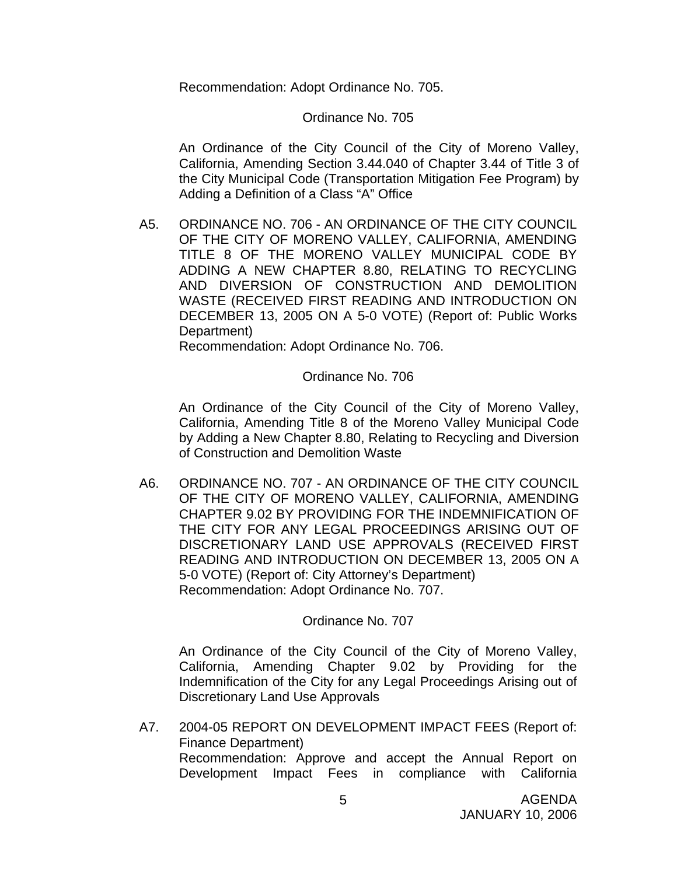Recommendation: Adopt Ordinance No. 705.

#### Ordinance No. 705

An Ordinance of the City Council of the City of Moreno Valley, California, Amending Section 3.44.040 of Chapter 3.44 of Title 3 of the City Municipal Code (Transportation Mitigation Fee Program) by Adding a Definition of a Class "A" Office

A5. ORDINANCE NO. 706 - AN ORDINANCE OF THE CITY COUNCIL OF THE CITY OF MORENO VALLEY, CALIFORNIA, AMENDING TITLE 8 OF THE MORENO VALLEY MUNICIPAL CODE BY ADDING A NEW CHAPTER 8.80, RELATING TO RECYCLING AND DIVERSION OF CONSTRUCTION AND DEMOLITION WASTE (RECEIVED FIRST READING AND INTRODUCTION ON DECEMBER 13, 2005 ON A 5-0 VOTE) (Report of: Public Works Department)

Recommendation: Adopt Ordinance No. 706.

#### Ordinance No. 706

An Ordinance of the City Council of the City of Moreno Valley, California, Amending Title 8 of the Moreno Valley Municipal Code by Adding a New Chapter 8.80, Relating to Recycling and Diversion of Construction and Demolition Waste

A6. ORDINANCE NO. 707 - AN ORDINANCE OF THE CITY COUNCIL OF THE CITY OF MORENO VALLEY, CALIFORNIA, AMENDING CHAPTER 9.02 BY PROVIDING FOR THE INDEMNIFICATION OF THE CITY FOR ANY LEGAL PROCEEDINGS ARISING OUT OF DISCRETIONARY LAND USE APPROVALS (RECEIVED FIRST READING AND INTRODUCTION ON DECEMBER 13, 2005 ON A 5-0 VOTE) (Report of: City Attorney's Department) Recommendation: Adopt Ordinance No. 707.

#### Ordinance No. 707

 An Ordinance of the City Council of the City of Moreno Valley, California, Amending Chapter 9.02 by Providing for the Indemnification of the City for any Legal Proceedings Arising out of Discretionary Land Use Approvals

A7. 2004-05 REPORT ON DEVELOPMENT IMPACT FEES (Report of: Finance Department) Recommendation: Approve and accept the Annual Report on Development Impact Fees in compliance with California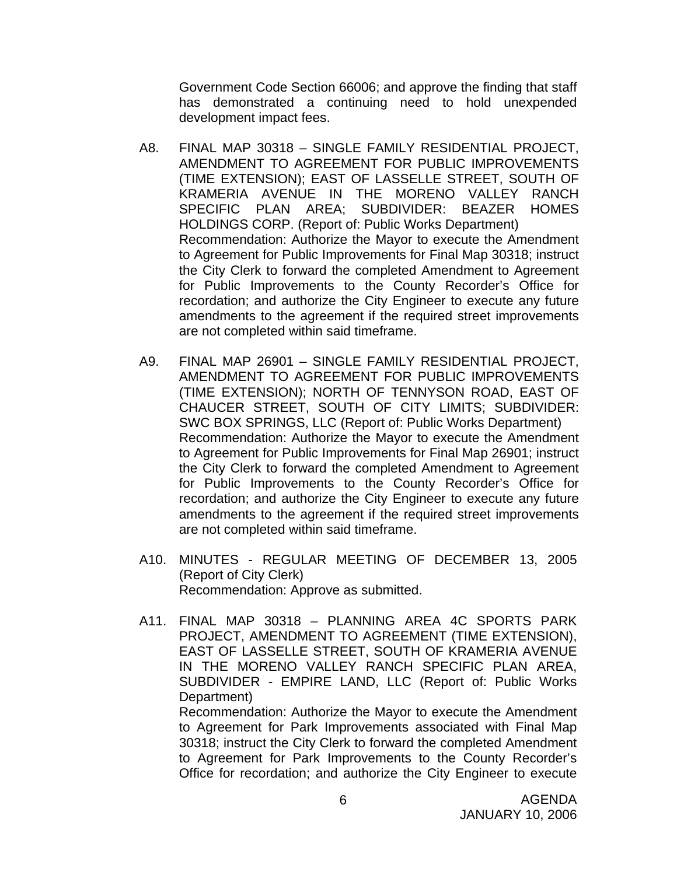Government Code Section 66006; and approve the finding that staff has demonstrated a continuing need to hold unexpended development impact fees.

- A8. FINAL MAP 30318 SINGLE FAMILY RESIDENTIAL PROJECT, AMENDMENT TO AGREEMENT FOR PUBLIC IMPROVEMENTS (TIME EXTENSION); EAST OF LASSELLE STREET, SOUTH OF KRAMERIA AVENUE IN THE MORENO VALLEY RANCH SPECIFIC PLAN AREA; SUBDIVIDER: BEAZER HOMES HOLDINGS CORP. (Report of: Public Works Department) Recommendation: Authorize the Mayor to execute the Amendment to Agreement for Public Improvements for Final Map 30318; instruct the City Clerk to forward the completed Amendment to Agreement for Public Improvements to the County Recorder's Office for recordation; and authorize the City Engineer to execute any future amendments to the agreement if the required street improvements are not completed within said timeframe.
- A9. FINAL MAP 26901 SINGLE FAMILY RESIDENTIAL PROJECT, AMENDMENT TO AGREEMENT FOR PUBLIC IMPROVEMENTS (TIME EXTENSION); NORTH OF TENNYSON ROAD, EAST OF CHAUCER STREET, SOUTH OF CITY LIMITS; SUBDIVIDER: SWC BOX SPRINGS, LLC (Report of: Public Works Department) Recommendation: Authorize the Mayor to execute the Amendment to Agreement for Public Improvements for Final Map 26901; instruct the City Clerk to forward the completed Amendment to Agreement for Public Improvements to the County Recorder's Office for recordation; and authorize the City Engineer to execute any future amendments to the agreement if the required street improvements are not completed within said timeframe.
- A10. MINUTES REGULAR MEETING OF DECEMBER 13, 2005 (Report of City Clerk) Recommendation: Approve as submitted.
- A11. FINAL MAP 30318 PLANNING AREA 4C SPORTS PARK PROJECT, AMENDMENT TO AGREEMENT (TIME EXTENSION), EAST OF LASSELLE STREET, SOUTH OF KRAMERIA AVENUE IN THE MORENO VALLEY RANCH SPECIFIC PLAN AREA, SUBDIVIDER - EMPIRE LAND, LLC (Report of: Public Works Department)

 Recommendation: Authorize the Mayor to execute the Amendment to Agreement for Park Improvements associated with Final Map 30318; instruct the City Clerk to forward the completed Amendment to Agreement for Park Improvements to the County Recorder's Office for recordation; and authorize the City Engineer to execute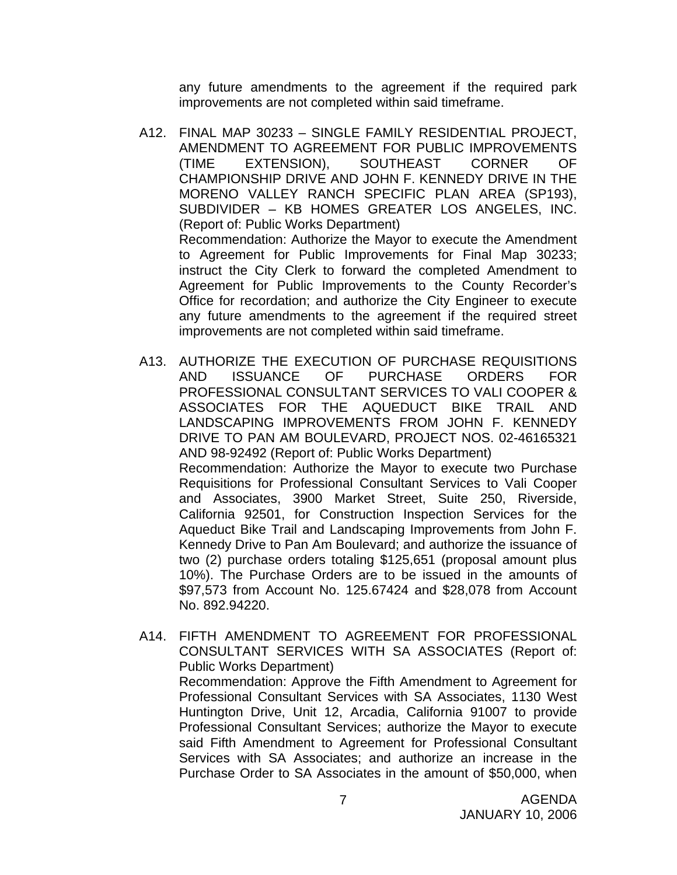any future amendments to the agreement if the required park improvements are not completed within said timeframe.

- A12. FINAL MAP 30233 SINGLE FAMILY RESIDENTIAL PROJECT, AMENDMENT TO AGREEMENT FOR PUBLIC IMPROVEMENTS (TIME EXTENSION), SOUTHEAST CORNER OF CHAMPIONSHIP DRIVE AND JOHN F. KENNEDY DRIVE IN THE MORENO VALLEY RANCH SPECIFIC PLAN AREA (SP193), SUBDIVIDER – KB HOMES GREATER LOS ANGELES, INC. (Report of: Public Works Department) Recommendation: Authorize the Mayor to execute the Amendment to Agreement for Public Improvements for Final Map 30233; instruct the City Clerk to forward the completed Amendment to Agreement for Public Improvements to the County Recorder's Office for recordation; and authorize the City Engineer to execute any future amendments to the agreement if the required street improvements are not completed within said timeframe.
- A13. AUTHORIZE THE EXECUTION OF PURCHASE REQUISITIONS AND ISSUANCE OF PURCHASE ORDERS FOR PROFESSIONAL CONSULTANT SERVICES TO VALI COOPER & ASSOCIATES FOR THE AQUEDUCT BIKE TRAIL AND LANDSCAPING IMPROVEMENTS FROM JOHN F. KENNEDY DRIVE TO PAN AM BOULEVARD, PROJECT NOS. 02-46165321 AND 98-92492 (Report of: Public Works Department) Recommendation: Authorize the Mayor to execute two Purchase Requisitions for Professional Consultant Services to Vali Cooper and Associates, 3900 Market Street, Suite 250, Riverside, California 92501, for Construction Inspection Services for the Aqueduct Bike Trail and Landscaping Improvements from John F. Kennedy Drive to Pan Am Boulevard; and authorize the issuance of two (2) purchase orders totaling \$125,651 (proposal amount plus 10%). The Purchase Orders are to be issued in the amounts of \$97,573 from Account No. 125.67424 and \$28,078 from Account No. 892.94220.
- A14. FIFTH AMENDMENT TO AGREEMENT FOR PROFESSIONAL CONSULTANT SERVICES WITH SA ASSOCIATES (Report of: Public Works Department)

 Recommendation: Approve the Fifth Amendment to Agreement for Professional Consultant Services with SA Associates, 1130 West Huntington Drive, Unit 12, Arcadia, California 91007 to provide Professional Consultant Services; authorize the Mayor to execute said Fifth Amendment to Agreement for Professional Consultant Services with SA Associates; and authorize an increase in the Purchase Order to SA Associates in the amount of \$50,000, when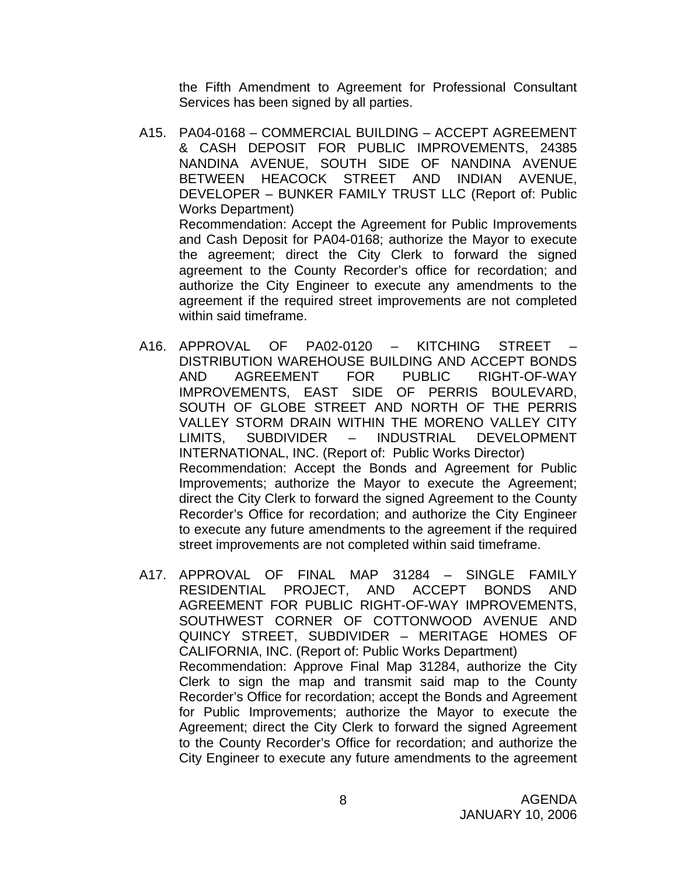the Fifth Amendment to Agreement for Professional Consultant Services has been signed by all parties.

- A15. PA04-0168 COMMERCIAL BUILDING ACCEPT AGREEMENT & CASH DEPOSIT FOR PUBLIC IMPROVEMENTS, 24385 NANDINA AVENUE, SOUTH SIDE OF NANDINA AVENUE BETWEEN HEACOCK STREET AND INDIAN AVENUE, DEVELOPER – BUNKER FAMILY TRUST LLC (Report of: Public Works Department) Recommendation: Accept the Agreement for Public Improvements and Cash Deposit for PA04-0168; authorize the Mayor to execute the agreement; direct the City Clerk to forward the signed agreement to the County Recorder's office for recordation; and authorize the City Engineer to execute any amendments to the agreement if the required street improvements are not completed within said timeframe.
- A16. APPROVAL OF PA02-0120 KITCHING STREET DISTRIBUTION WAREHOUSE BUILDING AND ACCEPT BONDS AND AGREEMENT FOR PUBLIC RIGHT-OF-WAY IMPROVEMENTS, EAST SIDE OF PERRIS BOULEVARD, SOUTH OF GLOBE STREET AND NORTH OF THE PERRIS VALLEY STORM DRAIN WITHIN THE MORENO VALLEY CITY LIMITS, SUBDIVIDER – INDUSTRIAL DEVELOPMENT INTERNATIONAL, INC. (Report of: Public Works Director) Recommendation: Accept the Bonds and Agreement for Public Improvements; authorize the Mayor to execute the Agreement; direct the City Clerk to forward the signed Agreement to the County Recorder's Office for recordation; and authorize the City Engineer to execute any future amendments to the agreement if the required street improvements are not completed within said timeframe.
- A17. APPROVAL OF FINAL MAP 31284 SINGLE FAMILY RESIDENTIAL PROJECT, AND ACCEPT BONDS AND AGREEMENT FOR PUBLIC RIGHT-OF-WAY IMPROVEMENTS, SOUTHWEST CORNER OF COTTONWOOD AVENUE AND QUINCY STREET, SUBDIVIDER – MERITAGE HOMES OF CALIFORNIA, INC. (Report of: Public Works Department) Recommendation: Approve Final Map 31284, authorize the City Clerk to sign the map and transmit said map to the County Recorder's Office for recordation; accept the Bonds and Agreement for Public Improvements; authorize the Mayor to execute the Agreement; direct the City Clerk to forward the signed Agreement to the County Recorder's Office for recordation; and authorize the City Engineer to execute any future amendments to the agreement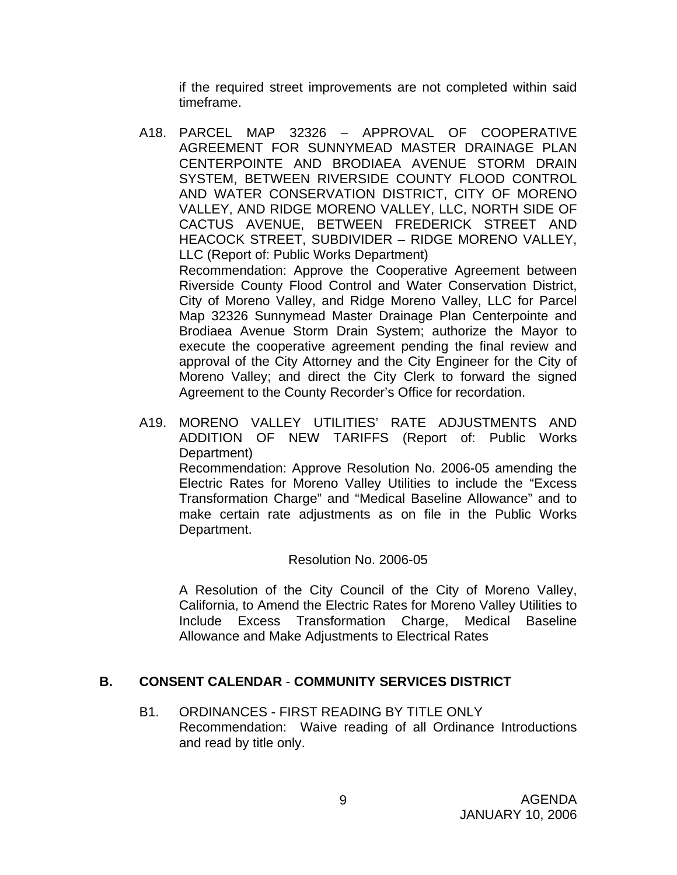if the required street improvements are not completed within said timeframe.

- A18. PARCEL MAP 32326 APPROVAL OF COOPERATIVE AGREEMENT FOR SUNNYMEAD MASTER DRAINAGE PLAN CENTERPOINTE AND BRODIAEA AVENUE STORM DRAIN SYSTEM, BETWEEN RIVERSIDE COUNTY FLOOD CONTROL AND WATER CONSERVATION DISTRICT, CITY OF MORENO VALLEY, AND RIDGE MORENO VALLEY, LLC, NORTH SIDE OF CACTUS AVENUE, BETWEEN FREDERICK STREET AND HEACOCK STREET, SUBDIVIDER – RIDGE MORENO VALLEY, LLC (Report of: Public Works Department) Recommendation: Approve the Cooperative Agreement between Riverside County Flood Control and Water Conservation District, City of Moreno Valley, and Ridge Moreno Valley, LLC for Parcel Map 32326 Sunnymead Master Drainage Plan Centerpointe and Brodiaea Avenue Storm Drain System; authorize the Mayor to execute the cooperative agreement pending the final review and approval of the City Attorney and the City Engineer for the City of Moreno Valley; and direct the City Clerk to forward the signed Agreement to the County Recorder's Office for recordation.
- A19. MORENO VALLEY UTILITIES' RATE ADJUSTMENTS AND ADDITION OF NEW TARIFFS (Report of: Public Works Department) Recommendation: Approve Resolution No. 2006-05 amending the Electric Rates for Moreno Valley Utilities to include the "Excess Transformation Charge" and "Medical Baseline Allowance" and to make certain rate adjustments as on file in the Public Works Department.

#### Resolution No. 2006-05

A Resolution of the City Council of the City of Moreno Valley, California, to Amend the Electric Rates for Moreno Valley Utilities to Include Excess Transformation Charge, Medical Baseline Allowance and Make Adjustments to Electrical Rates

#### **B. CONSENT CALENDAR** - **COMMUNITY SERVICES DISTRICT**

B1. ORDINANCES - FIRST READING BY TITLE ONLY Recommendation: Waive reading of all Ordinance Introductions and read by title only.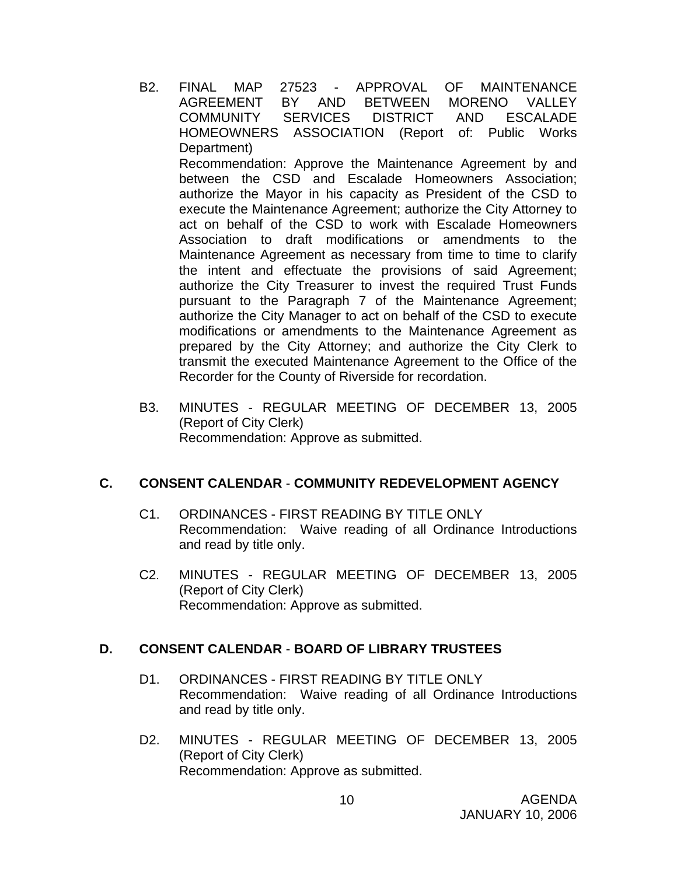- B2. FINAL MAP 27523 APPROVAL OF MAINTENANCE AGREEMENT BY AND BETWEEN MORENO VALLEY COMMUNITY SERVICES DISTRICT AND ESCALADE HOMEOWNERS ASSOCIATION (Report of: Public Works Department) Recommendation: Approve the Maintenance Agreement by and between the CSD and Escalade Homeowners Association; authorize the Mayor in his capacity as President of the CSD to execute the Maintenance Agreement; authorize the City Attorney to act on behalf of the CSD to work with Escalade Homeowners Association to draft modifications or amendments to the Maintenance Agreement as necessary from time to time to clarify the intent and effectuate the provisions of said Agreement; authorize the City Treasurer to invest the required Trust Funds pursuant to the Paragraph 7 of the Maintenance Agreement; authorize the City Manager to act on behalf of the CSD to execute modifications or amendments to the Maintenance Agreement as prepared by the City Attorney; and authorize the City Clerk to transmit the executed Maintenance Agreement to the Office of the Recorder for the County of Riverside for recordation.
- B3. MINUTES REGULAR MEETING OF DECEMBER 13, 2005 (Report of City Clerk) Recommendation: Approve as submitted.

#### **C. CONSENT CALENDAR** - **COMMUNITY REDEVELOPMENT AGENCY**

- C1. ORDINANCES FIRST READING BY TITLE ONLY Recommendation: Waive reading of all Ordinance Introductions and read by title only.
- C2. MINUTES REGULAR MEETING OF DECEMBER 13, 2005 (Report of City Clerk) Recommendation: Approve as submitted.

### **D. CONSENT CALENDAR** - **BOARD OF LIBRARY TRUSTEES**

- D1. ORDINANCES FIRST READING BY TITLE ONLY Recommendation: Waive reading of all Ordinance Introductions and read by title only.
- D2. MINUTES REGULAR MEETING OF DECEMBER 13, 2005 (Report of City Clerk) Recommendation: Approve as submitted.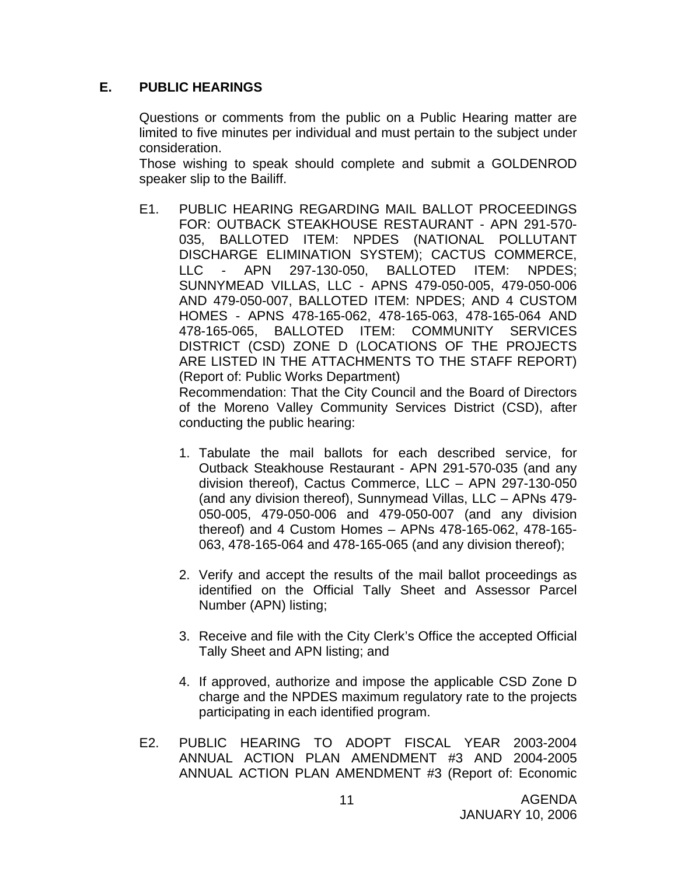#### **E. PUBLIC HEARINGS**

Questions or comments from the public on a Public Hearing matter are limited to five minutes per individual and must pertain to the subject under consideration.

 Those wishing to speak should complete and submit a GOLDENROD speaker slip to the Bailiff.

E1. PUBLIC HEARING REGARDING MAIL BALLOT PROCEEDINGS FOR: OUTBACK STEAKHOUSE RESTAURANT - APN 291-570- 035, BALLOTED ITEM: NPDES (NATIONAL POLLUTANT DISCHARGE ELIMINATION SYSTEM); CACTUS COMMERCE, LLC - APN 297-130-050, BALLOTED ITEM: NPDES; SUNNYMEAD VILLAS, LLC - APNS 479-050-005, 479-050-006 AND 479-050-007, BALLOTED ITEM: NPDES; AND 4 CUSTOM HOMES - APNS 478-165-062, 478-165-063, 478-165-064 AND 478-165-065, BALLOTED ITEM: COMMUNITY SERVICES DISTRICT (CSD) ZONE D (LOCATIONS OF THE PROJECTS ARE LISTED IN THE ATTACHMENTS TO THE STAFF REPORT) (Report of: Public Works Department)

 Recommendation: That the City Council and the Board of Directors of the Moreno Valley Community Services District (CSD), after conducting the public hearing:

- 1. Tabulate the mail ballots for each described service, for Outback Steakhouse Restaurant - APN 291-570-035 (and any division thereof), Cactus Commerce, LLC – APN 297-130-050 (and any division thereof), Sunnymead Villas, LLC – APNs 479- 050-005, 479-050-006 and 479-050-007 (and any division thereof) and 4 Custom Homes – APNs 478-165-062, 478-165- 063, 478-165-064 and 478-165-065 (and any division thereof);
- 2. Verify and accept the results of the mail ballot proceedings as identified on the Official Tally Sheet and Assessor Parcel Number (APN) listing;
- 3. Receive and file with the City Clerk's Office the accepted Official Tally Sheet and APN listing; and
- 4. If approved, authorize and impose the applicable CSD Zone D charge and the NPDES maximum regulatory rate to the projects participating in each identified program.
- E2. PUBLIC HEARING TO ADOPT FISCAL YEAR 2003-2004 ANNUAL ACTION PLAN AMENDMENT #3 AND 2004-2005 ANNUAL ACTION PLAN AMENDMENT #3 (Report of: Economic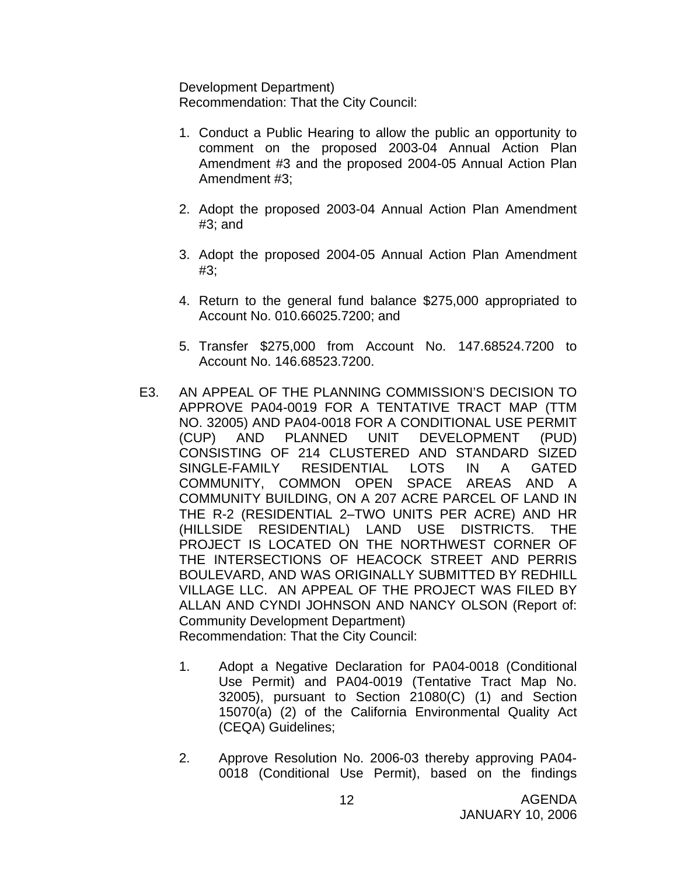Development Department) Recommendation: That the City Council:

- 1. Conduct a Public Hearing to allow the public an opportunity to comment on the proposed 2003-04 Annual Action Plan Amendment #3 and the proposed 2004-05 Annual Action Plan Amendment #3;
- 2. Adopt the proposed 2003-04 Annual Action Plan Amendment #3; and
- 3. Adopt the proposed 2004-05 Annual Action Plan Amendment #3;
- 4. Return to the general fund balance \$275,000 appropriated to Account No. 010.66025.7200; and
- 5. Transfer \$275,000 from Account No. 147.68524.7200 to Account No. 146.68523.7200.
- E3. AN APPEAL OF THE PLANNING COMMISSION'S DECISION TO APPROVE PA04-0019 FOR A TENTATIVE TRACT MAP (TTM NO. 32005) AND PA04-0018 FOR A CONDITIONAL USE PERMIT (CUP) AND PLANNED UNIT DEVELOPMENT (PUD) CONSISTING OF 214 CLUSTERED AND STANDARD SIZED SINGLE-FAMILY RESIDENTIAL LOTS IN A GATED COMMUNITY, COMMON OPEN SPACE AREAS AND A COMMUNITY BUILDING, ON A 207 ACRE PARCEL OF LAND IN THE R-2 (RESIDENTIAL 2–TWO UNITS PER ACRE) AND HR (HILLSIDE RESIDENTIAL) LAND USE DISTRICTS. THE PROJECT IS LOCATED ON THE NORTHWEST CORNER OF THE INTERSECTIONS OF HEACOCK STREET AND PERRIS BOULEVARD, AND WAS ORIGINALLY SUBMITTED BY REDHILL VILLAGE LLC. AN APPEAL OF THE PROJECT WAS FILED BY ALLAN AND CYNDI JOHNSON AND NANCY OLSON (Report of: Community Development Department) Recommendation: That the City Council:
	- 1. Adopt a Negative Declaration for PA04-0018 (Conditional Use Permit) and PA04-0019 (Tentative Tract Map No. 32005), pursuant to Section 21080(C) (1) and Section 15070(a) (2) of the California Environmental Quality Act (CEQA) Guidelines;
	- 2. Approve Resolution No. 2006-03 thereby approving PA04- 0018 (Conditional Use Permit), based on the findings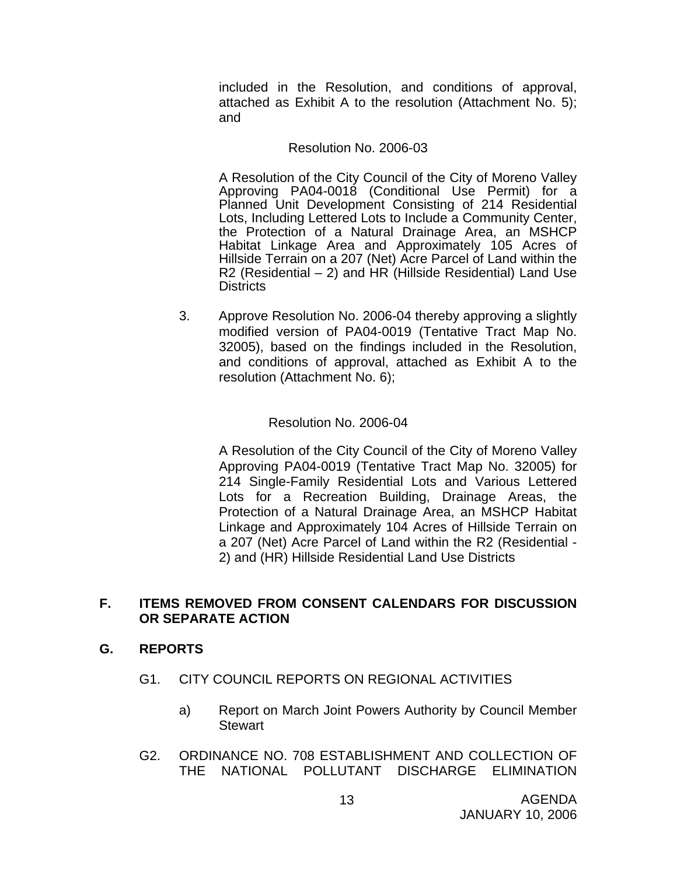included in the Resolution, and conditions of approval, attached as Exhibit A to the resolution (Attachment No. 5); and

#### Resolution No. 2006-03

A Resolution of the City Council of the City of Moreno Valley Approving PA04-0018 (Conditional Use Permit) for a Planned Unit Development Consisting of 214 Residential Lots, Including Lettered Lots to Include a Community Center, the Protection of a Natural Drainage Area, an MSHCP Habitat Linkage Area and Approximately 105 Acres of Hillside Terrain on a 207 (Net) Acre Parcel of Land within the R2 (Residential  $-$  2) and HR (Hillside Residential) Land Use **Districts** 

3. Approve Resolution No. 2006-04 thereby approving a slightly modified version of PA04-0019 (Tentative Tract Map No. 32005), based on the findings included in the Resolution, and conditions of approval, attached as Exhibit A to the resolution (Attachment No. 6);

#### Resolution No. 2006-04

A Resolution of the City Council of the City of Moreno Valley Approving PA04-0019 (Tentative Tract Map No. 32005) for 214 Single-Family Residential Lots and Various Lettered Lots for a Recreation Building, Drainage Areas, the Protection of a Natural Drainage Area, an MSHCP Habitat Linkage and Approximately 104 Acres of Hillside Terrain on a 207 (Net) Acre Parcel of Land within the R2 (Residential - 2) and (HR) Hillside Residential Land Use Districts

#### **F. ITEMS REMOVED FROM CONSENT CALENDARS FOR DISCUSSION OR SEPARATE ACTION**

### **G. REPORTS**

- G1. CITY COUNCIL REPORTS ON REGIONAL ACTIVITIES
	- a) Report on March Joint Powers Authority by Council Member **Stewart**
- G2. ORDINANCE NO. 708 ESTABLISHMENT AND COLLECTION OF THE NATIONAL POLLUTANT DISCHARGE ELIMINATION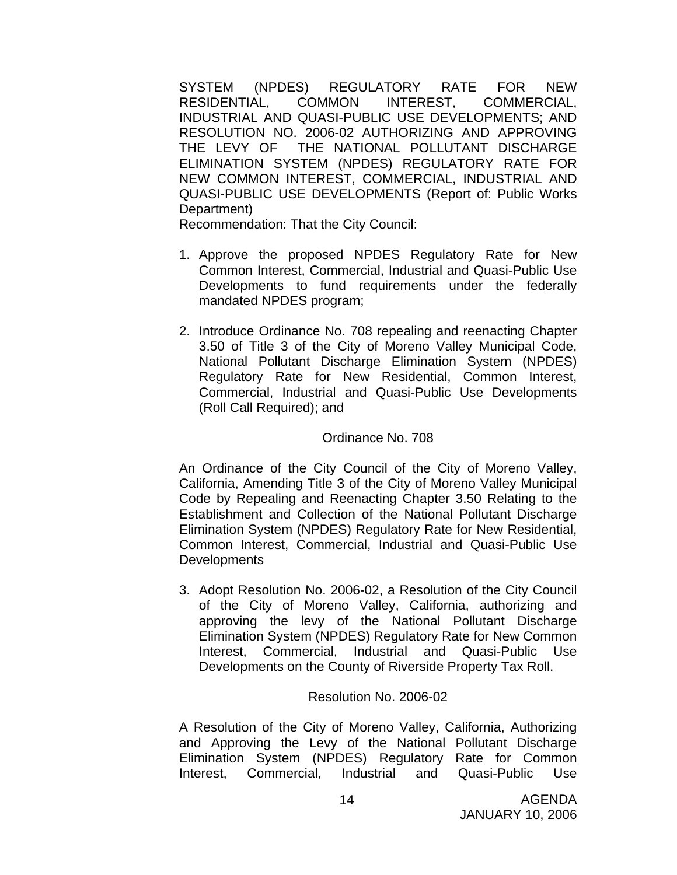SYSTEM (NPDES) REGULATORY RATE FOR NEW RESIDENTIAL, COMMON INTEREST, COMMERCIAL, INDUSTRIAL AND QUASI-PUBLIC USE DEVELOPMENTS; AND RESOLUTION NO. 2006-02 AUTHORIZING AND APPROVING THE LEVY OF THE NATIONAL POLLUTANT DISCHARGE ELIMINATION SYSTEM (NPDES) REGULATORY RATE FOR NEW COMMON INTEREST, COMMERCIAL, INDUSTRIAL AND QUASI-PUBLIC USE DEVELOPMENTS (Report of: Public Works Department)

Recommendation: That the City Council:

- 1. Approve the proposed NPDES Regulatory Rate for New Common Interest, Commercial, Industrial and Quasi-Public Use Developments to fund requirements under the federally mandated NPDES program;
- 2. Introduce Ordinance No. 708 repealing and reenacting Chapter 3.50 of Title 3 of the City of Moreno Valley Municipal Code, National Pollutant Discharge Elimination System (NPDES) Regulatory Rate for New Residential, Common Interest, Commercial, Industrial and Quasi-Public Use Developments (Roll Call Required); and

#### Ordinance No. 708

An Ordinance of the City Council of the City of Moreno Valley, California, Amending Title 3 of the City of Moreno Valley Municipal Code by Repealing and Reenacting Chapter 3.50 Relating to the Establishment and Collection of the National Pollutant Discharge Elimination System (NPDES) Regulatory Rate for New Residential, Common Interest, Commercial, Industrial and Quasi-Public Use **Developments** 

3. Adopt Resolution No. 2006-02, a Resolution of the City Council of the City of Moreno Valley, California, authorizing and approving the levy of the National Pollutant Discharge Elimination System (NPDES) Regulatory Rate for New Common Interest, Commercial, Industrial and Quasi-Public Use Developments on the County of Riverside Property Tax Roll.

#### Resolution No. 2006-02

A Resolution of the City of Moreno Valley, California, Authorizing and Approving the Levy of the National Pollutant Discharge Elimination System (NPDES) Regulatory Rate for Common Interest, Commercial, Industrial and Quasi-Public Use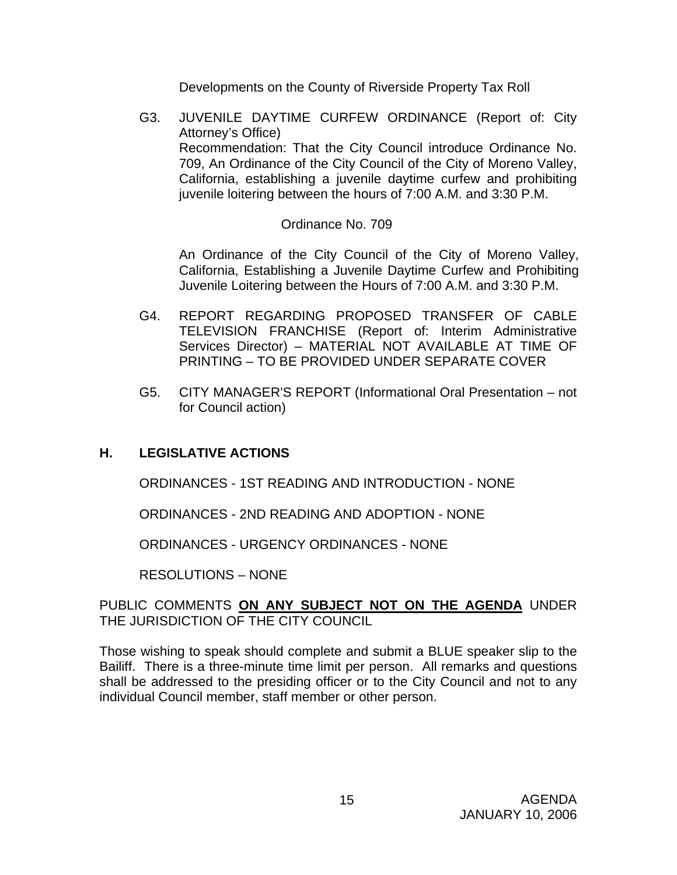Developments on the County of Riverside Property Tax Roll

G3. JUVENILE DAYTIME CURFEW ORDINANCE (Report of: City Attorney's Office) Recommendation: That the City Council introduce Ordinance No. 709, An Ordinance of the City Council of the City of Moreno Valley, California, establishing a juvenile daytime curfew and prohibiting juvenile loitering between the hours of 7:00 A.M. and 3:30 P.M.

#### Ordinance No. 709

 An Ordinance of the City Council of the City of Moreno Valley, California, Establishing a Juvenile Daytime Curfew and Prohibiting Juvenile Loitering between the Hours of 7:00 A.M. and 3:30 P.M.

- G4. REPORT REGARDING PROPOSED TRANSFER OF CABLE TELEVISION FRANCHISE (Report of: Interim Administrative Services Director) – MATERIAL NOT AVAILABLE AT TIME OF PRINTING – TO BE PROVIDED UNDER SEPARATE COVER
- G5. CITY MANAGER'S REPORT (Informational Oral Presentation not for Council action)

## **H. LEGISLATIVE ACTIONS**

ORDINANCES - 1ST READING AND INTRODUCTION - NONE

ORDINANCES - 2ND READING AND ADOPTION - NONE

ORDINANCES - URGENCY ORDINANCES - NONE

RESOLUTIONS – NONE

#### PUBLIC COMMENTS **ON ANY SUBJECT NOT ON THE AGENDA** UNDER THE JURISDICTION OF THE CITY COUNCIL

Those wishing to speak should complete and submit a BLUE speaker slip to the Bailiff. There is a three-minute time limit per person. All remarks and questions shall be addressed to the presiding officer or to the City Council and not to any individual Council member, staff member or other person.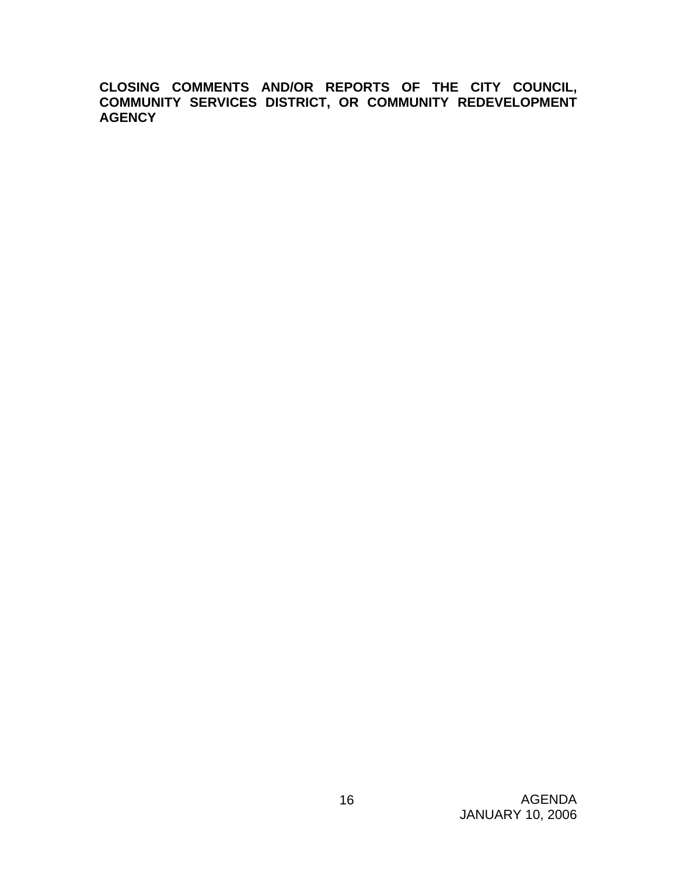**CLOSING COMMENTS AND/OR REPORTS OF THE CITY COUNCIL, COMMUNITY SERVICES DISTRICT, OR COMMUNITY REDEVELOPMENT AGENCY**